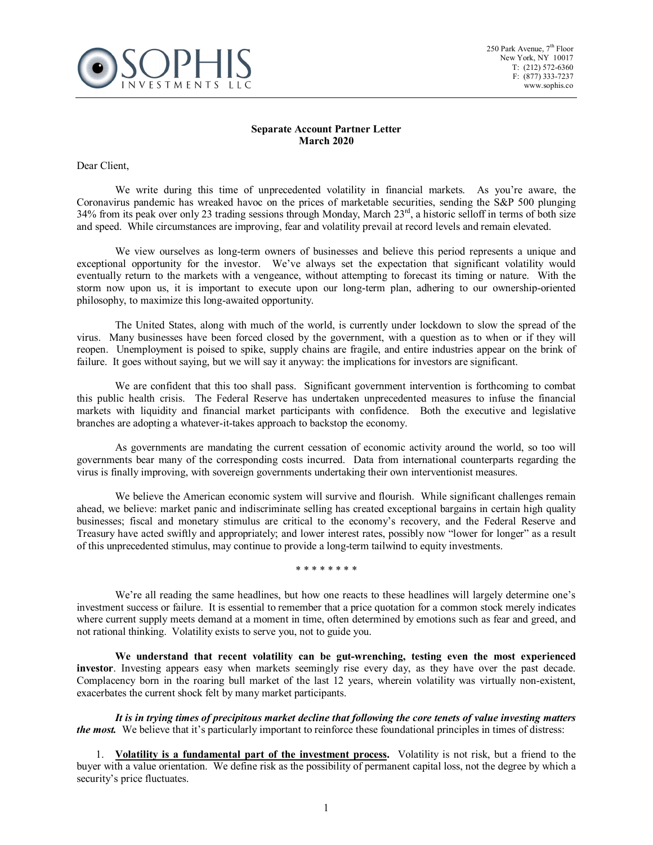

## **Separate Account Partner Letter March 2020**

Dear Client,

We write during this time of unprecedented volatility in financial markets. As you're aware, the Coronavirus pandemic has wreaked havoc on the prices of marketable securities, sending the S&P 500 plunging 34% from its peak over only 23 trading sessions through Monday, March 23<sup>rd</sup>, a historic selloff in terms of both size and speed. While circumstances are improving, fear and volatility prevail at record levels and remain elevated.

We view ourselves as long-term owners of businesses and believe this period represents a unique and exceptional opportunity for the investor. We've always set the expectation that significant volatility would eventually return to the markets with a vengeance, without attempting to forecast its timing or nature. With the storm now upon us, it is important to execute upon our long-term plan, adhering to our ownership-oriented philosophy, to maximize this long-awaited opportunity.

The United States, along with much of the world, is currently under lockdown to slow the spread of the virus. Many businesses have been forced closed by the government, with a question as to when or if they will reopen. Unemployment is poised to spike, supply chains are fragile, and entire industries appear on the brink of failure. It goes without saying, but we will say it anyway: the implications for investors are significant.

We are confident that this too shall pass. Significant government intervention is forthcoming to combat this public health crisis. The Federal Reserve has undertaken unprecedented measures to infuse the financial markets with liquidity and financial market participants with confidence. Both the executive and legislative branches are adopting a whatever-it-takes approach to backstop the economy.

As governments are mandating the current cessation of economic activity around the world, so too will governments bear many of the corresponding costs incurred. Data from international counterparts regarding the virus is finally improving, with sovereign governments undertaking their own interventionist measures.

We believe the American economic system will survive and flourish. While significant challenges remain ahead, we believe: market panic and indiscriminate selling has created exceptional bargains in certain high quality businesses; fiscal and monetary stimulus are critical to the economy's recovery, and the Federal Reserve and Treasury have acted swiftly and appropriately; and lower interest rates, possibly now "lower for longer" as a result of this unprecedented stimulus, may continue to provide a long-term tailwind to equity investments.

\* \* \* \* \* \* \* \*

We're all reading the same headlines, but how one reacts to these headlines will largely determine one's investment success or failure. It is essential to remember that a price quotation for a common stock merely indicates where current supply meets demand at a moment in time, often determined by emotions such as fear and greed, and not rational thinking. Volatility exists to serve you, not to guide you.

**We understand that recent volatility can be gut-wrenching, testing even the most experienced investor**. Investing appears easy when markets seemingly rise every day, as they have over the past decade. Complacency born in the roaring bull market of the last 12 years, wherein volatility was virtually non-existent, exacerbates the current shock felt by many market participants.

*It is in trying times of precipitous market decline that following the core tenets of value investing matters the most.* We believe that it's particularly important to reinforce these foundational principles in times of distress:

1. **Volatility is a fundamental part of the investment process.** Volatility is not risk, but a friend to the buyer with a value orientation. We define risk as the possibility of permanent capital loss, not the degree by which a security's price fluctuates.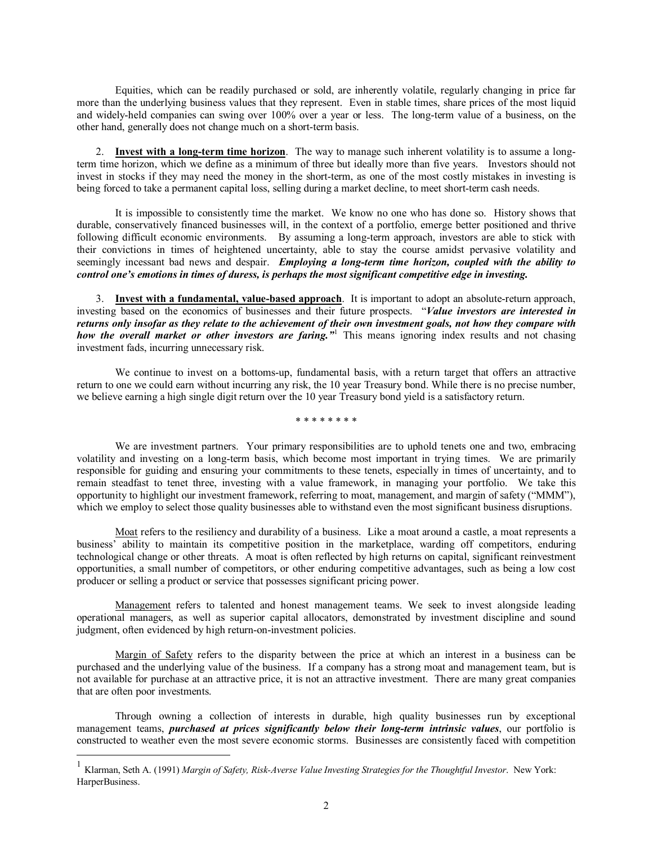Equities, which can be readily purchased or sold, are inherently volatile, regularly changing in price far more than the underlying business values that they represent. Even in stable times, share prices of the most liquid and widely-held companies can swing over 100% over a year or less. The long-term value of a business, on the other hand, generally does not change much on a short-term basis.

2. **Invest with a long-term time horizon**. The way to manage such inherent volatility is to assume a longterm time horizon, which we define as a minimum of three but ideally more than five years. Investors should not invest in stocks if they may need the money in the short-term, as one of the most costly mistakes in investing is being forced to take a permanent capital loss, selling during a market decline, to meet short-term cash needs.

It is impossible to consistently time the market. We know no one who has done so. History shows that durable, conservatively financed businesses will, in the context of a portfolio, emerge better positioned and thrive following difficult economic environments. By assuming a long-term approach, investors are able to stick with their convictions in times of heightened uncertainty, able to stay the course amidst pervasive volatility and seemingly incessant bad news and despair. *Employing a long-term time horizon, coupled with the ability to control one's emotions in times of duress, is perhaps the most significant competitive edge in investing.*

3. **Invest with a fundamental, value-based approach**. It is important to adopt an absolute-return approach, investing based on the economics of businesses and their future prospects. "*Value investors are interested in returns only insofar as they relate to the achievement of their own investment goals, not how they compare with how the overall market or other investors are faring."*[1](#page-1-0) This means ignoring index results and not chasing investment fads, incurring unnecessary risk.

We continue to invest on a bottoms-up, fundamental basis, with a return target that offers an attractive return to one we could earn without incurring any risk, the 10 year Treasury bond. While there is no precise number, we believe earning a high single digit return over the 10 year Treasury bond yield is a satisfactory return.

\* \* \* \* \* \* \* \*

We are investment partners. Your primary responsibilities are to uphold tenets one and two, embracing volatility and investing on a long-term basis, which become most important in trying times. We are primarily responsible for guiding and ensuring your commitments to these tenets, especially in times of uncertainty, and to remain steadfast to tenet three, investing with a value framework, in managing your portfolio. We take this opportunity to highlight our investment framework, referring to moat, management, and margin of safety ("MMM"), which we employ to select those quality businesses able to withstand even the most significant business disruptions.

Moat refers to the resiliency and durability of a business. Like a moat around a castle, a moat represents a business' ability to maintain its competitive position in the marketplace, warding off competitors, enduring technological change or other threats. A moat is often reflected by high returns on capital, significant reinvestment opportunities, a small number of competitors, or other enduring competitive advantages, such as being a low cost producer or selling a product or service that possesses significant pricing power.

Management refers to talented and honest management teams. We seek to invest alongside leading operational managers, as well as superior capital allocators, demonstrated by investment discipline and sound judgment, often evidenced by high return-on-investment policies.

Margin of Safety refers to the disparity between the price at which an interest in a business can be purchased and the underlying value of the business. If a company has a strong moat and management team, but is not available for purchase at an attractive price, it is not an attractive investment. There are many great companies that are often poor investments.

Through owning a collection of interests in durable, high quality businesses run by exceptional management teams, *purchased at prices significantly below their long-term intrinsic values*, our portfolio is constructed to weather even the most severe economic storms. Businesses are consistently faced with competition

<span id="page-1-0"></span> <sup>1</sup> Klarman, Seth A. (1991) *Margin of Safety, Risk-Averse Value Investing Strategies for the Thoughtful Investor*. New York: HarperBusiness.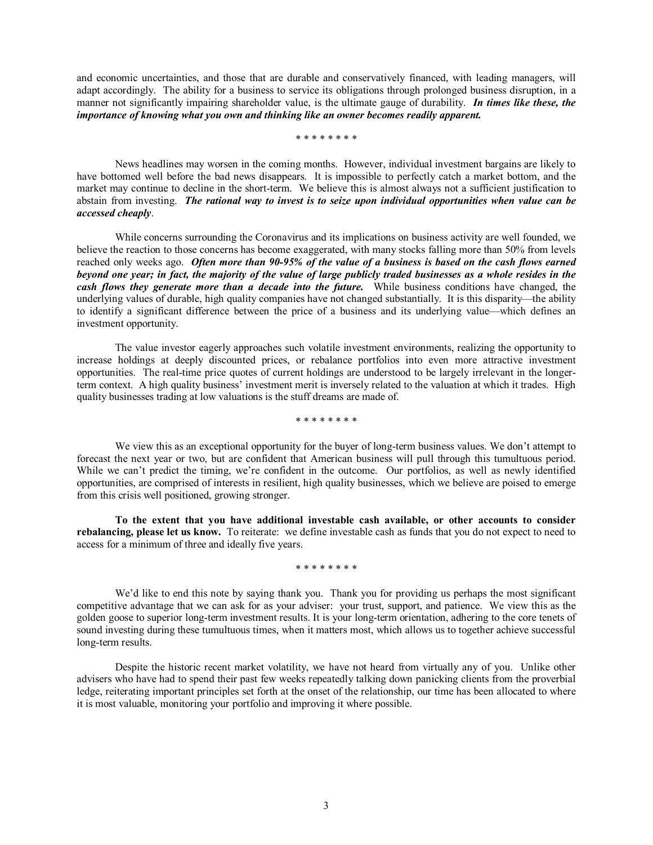and economic uncertainties, and those that are durable and conservatively financed, with leading managers, will adapt accordingly. The ability for a business to service its obligations through prolonged business disruption, in a manner not significantly impairing shareholder value, is the ultimate gauge of durability. *In times like these, the importance of knowing what you own and thinking like an owner becomes readily apparent.*

\* \* \* \* \* \* \* \*

News headlines may worsen in the coming months. However, individual investment bargains are likely to have bottomed well before the bad news disappears. It is impossible to perfectly catch a market bottom, and the market may continue to decline in the short-term. We believe this is almost always not a sufficient justification to abstain from investing. *The rational way to invest is to seize upon individual opportunities when value can be accessed cheaply*.

While concerns surrounding the Coronavirus and its implications on business activity are well founded, we believe the reaction to those concerns has become exaggerated, with many stocks falling more than 50% from levels reached only weeks ago. *Often more than 90-95% of the value of a business is based on the cash flows earned beyond one year; in fact, the majority of the value of large publicly traded businesses as a whole resides in the cash flows they generate more than a decade into the future.* While business conditions have changed, the underlying values of durable, high quality companies have not changed substantially. It is this disparity—the ability to identify a significant difference between the price of a business and its underlying value—which defines an investment opportunity.

The value investor eagerly approaches such volatile investment environments, realizing the opportunity to increase holdings at deeply discounted prices, or rebalance portfolios into even more attractive investment opportunities. The real-time price quotes of current holdings are understood to be largely irrelevant in the longerterm context. A high quality business' investment merit is inversely related to the valuation at which it trades. High quality businesses trading at low valuations is the stuff dreams are made of.

\* \* \* \* \* \* \* \*

We view this as an exceptional opportunity for the buyer of long-term business values. We don't attempt to forecast the next year or two, but are confident that American business will pull through this tumultuous period. While we can't predict the timing, we're confident in the outcome. Our portfolios, as well as newly identified opportunities, are comprised of interests in resilient, high quality businesses, which we believe are poised to emerge from this crisis well positioned, growing stronger.

**To the extent that you have additional investable cash available, or other accounts to consider rebalancing, please let us know.** To reiterate: we define investable cash as funds that you do not expect to need to access for a minimum of three and ideally five years.

\* \* \* \* \* \* \* \*

We'd like to end this note by saying thank you. Thank you for providing us perhaps the most significant competitive advantage that we can ask for as your adviser: your trust, support, and patience. We view this as the golden goose to superior long-term investment results. It is your long-term orientation, adhering to the core tenets of sound investing during these tumultuous times, when it matters most, which allows us to together achieve successful long-term results.

Despite the historic recent market volatility, we have not heard from virtually any of you. Unlike other advisers who have had to spend their past few weeks repeatedly talking down panicking clients from the proverbial ledge, reiterating important principles set forth at the onset of the relationship, our time has been allocated to where it is most valuable, monitoring your portfolio and improving it where possible.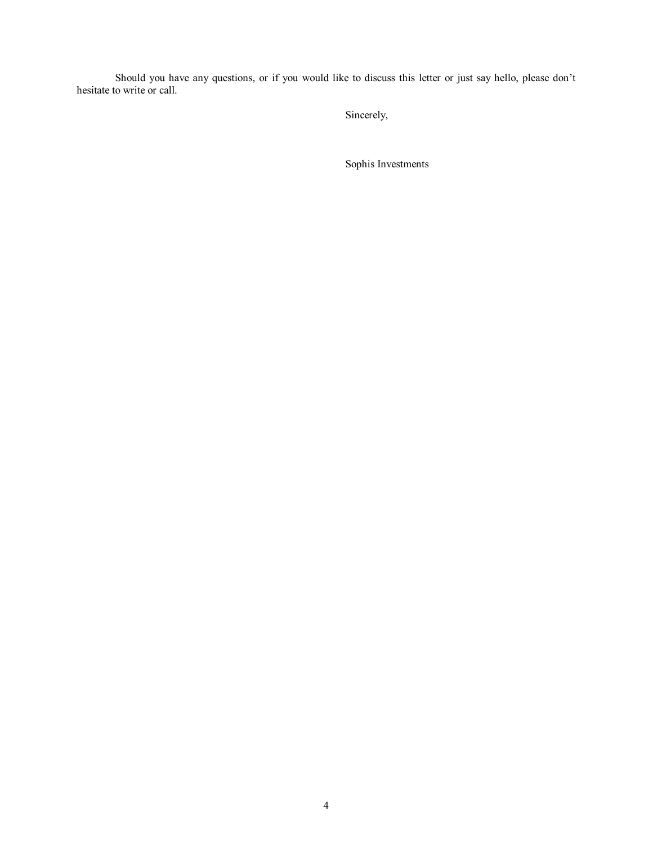Should you have any questions, or if you would like to discuss this letter or just say hello, please don't hesitate to write or call.

Sincerely,

Sophis Investments